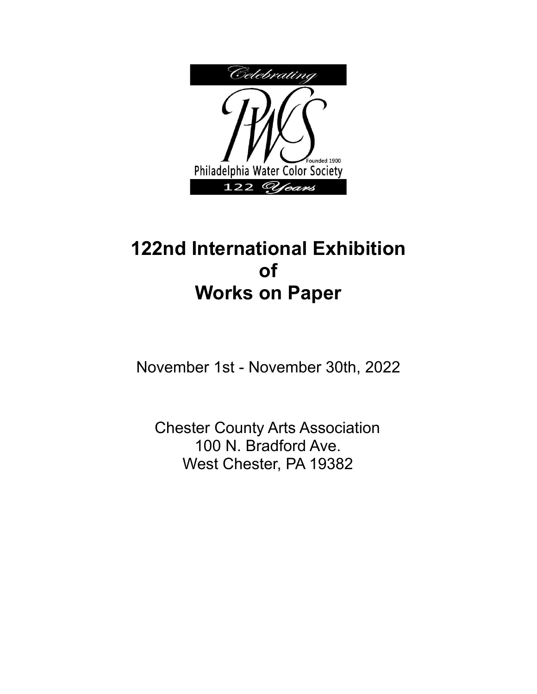

# **122nd International Exhibition of Works on Paper**

November 1st - November 30th, 2022

Chester County Arts Association 100 N. Bradford Ave. West Chester, PA 19382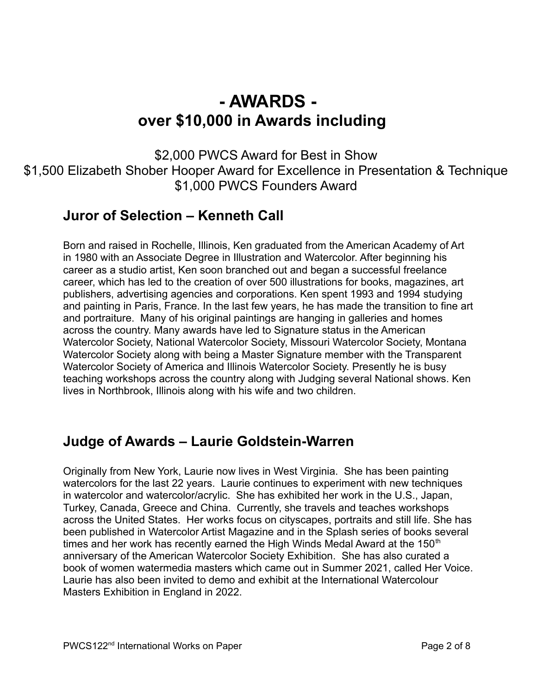# **- AWARDS over \$10,000 in Awards including**

\$2,000 PWCS Award for Best in Show \$1,500 Elizabeth Shober Hooper Award for Excellence in Presentation & Technique \$1,000 PWCS Founders Award

### **Juror of Selection – Kenneth Call**

Born and raised in Rochelle, Illinois, Ken graduated from the American Academy of Art in 1980 with an Associate Degree in Illustration and Watercolor. After beginning his career as a studio artist, Ken soon branched out and began a successful freelance career, which has led to the creation of over 500 illustrations for books, magazines, art publishers, advertising agencies and corporations. Ken spent 1993 and 1994 studying and painting in Paris, France. In the last few years, he has made the transition to fine art and portraiture. Many of his original paintings are hanging in galleries and homes across the country. Many awards have led to Signature status in the American Watercolor Society, National Watercolor Society, Missouri Watercolor Society, Montana Watercolor Society along with being a Master Signature member with the Transparent Watercolor Society of America and Illinois Watercolor Society. Presently he is busy teaching workshops across the country along with Judging several National shows. Ken lives in Northbrook, Illinois along with his wife and two children.

#### **Judge of Awards – Laurie Goldstein-Warren**

Originally from New York, Laurie now lives in West Virginia. She has been painting watercolors for the last 22 years. Laurie continues to experiment with new techniques in watercolor and watercolor/acrylic. She has exhibited her work in the U.S., Japan, Turkey, Canada, Greece and China. Currently, she travels and teaches workshops across the United States. Her works focus on cityscapes, portraits and still life. She has been published in Watercolor Artist Magazine and in the Splash series of books several times and her work has recently earned the High Winds Medal Award at the 150<sup>th</sup> anniversary of the American Watercolor Society Exhibition. She has also curated a book of women watermedia masters which came out in Summer 2021, called Her Voice. Laurie has also been invited to demo and exhibit at the International Watercolour Masters Exhibition in England in 2022.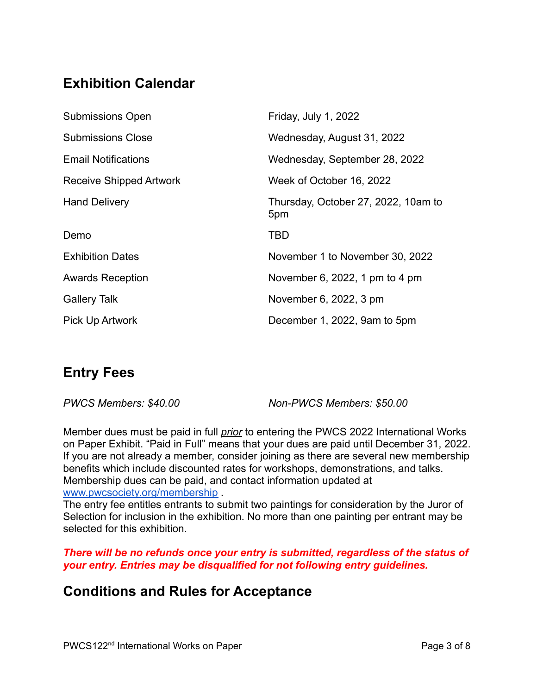# **Exhibition Calendar**

| <b>Submissions Open</b>    | Friday, July 1, 2022                       |
|----------------------------|--------------------------------------------|
| <b>Submissions Close</b>   | Wednesday, August 31, 2022                 |
| <b>Email Notifications</b> | Wednesday, September 28, 2022              |
| Receive Shipped Artwork    | Week of October 16, 2022                   |
| <b>Hand Delivery</b>       | Thursday, October 27, 2022, 10am to<br>5pm |
| Demo                       | <b>TBD</b>                                 |
| <b>Exhibition Dates</b>    | November 1 to November 30, 2022            |
| <b>Awards Reception</b>    | November 6, 2022, 1 pm to 4 pm             |
| <b>Gallery Talk</b>        | November 6, 2022, 3 pm                     |
| <b>Pick Up Artwork</b>     | December 1, 2022, 9am to 5pm               |

# **Entry Fees**

*PWCS Members: \$40.00 Non-PWCS Members: \$50.00*

Member dues must be paid in full *prior* to entering the PWCS 2022 International Works on Paper Exhibit. "Paid in Full" means that your dues are paid until December 31, 2022. If you are not already a member, consider joining as there are several new membership benefits which include discounted rates for workshops, demonstrations, and talks. Membership dues can be paid, and contact information updated at [www.pwcsociety.org/membership](http://www.pwcsociety.org/membership) .

The entry fee entitles entrants to submit two paintings for consideration by the Juror of Selection for inclusion in the exhibition. No more than one painting per entrant may be selected for this exhibition.

#### *There will be no refunds once your entry is submitted, regardless of the status of your entry. Entries may be disqualified for not following entry guidelines.*

#### **Conditions and Rules for Acceptance**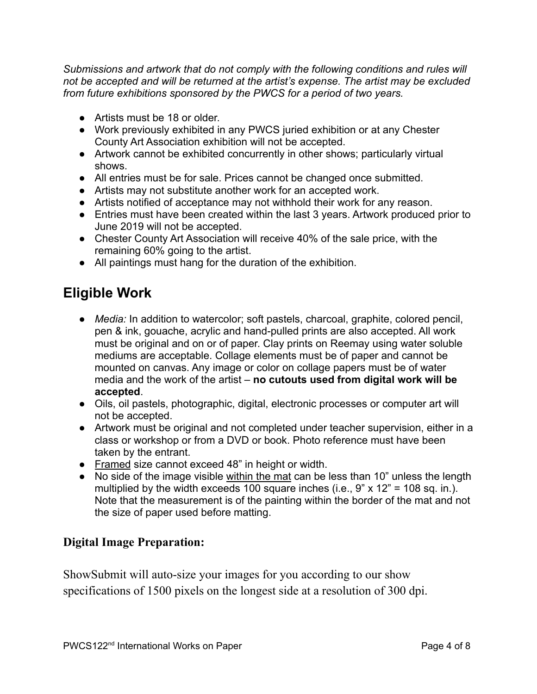*Submissions and artwork that do not comply with the following conditions and rules will not be accepted and will be returned at the artist's expense. The artist may be excluded from future exhibitions sponsored by the PWCS for a period of two years.*

- Artists must be 18 or older.
- Work previously exhibited in any PWCS juried exhibition or at any Chester County Art Association exhibition will not be accepted.
- Artwork cannot be exhibited concurrently in other shows; particularly virtual shows.
- All entries must be for sale. Prices cannot be changed once submitted.
- **●** Artists may not substitute another work for an accepted work.
- **●** Artists notified of acceptance may not withhold their work for any reason.
- Entries must have been created within the last 3 years. Artwork produced prior to June 2019 will not be accepted.
- *●* Chester County Art Association will receive 40% of the sale price, with the remaining 60% going to the artist.
- All paintings must hang for the duration of the exhibition.

### **Eligible Work**

- *● Media:* In addition to watercolor; soft pastels, charcoal, graphite, colored pencil, pen & ink, gouache, acrylic and hand-pulled prints are also accepted. All work must be original and on or of paper. Clay prints on Reemay using water soluble mediums are acceptable. Collage elements must be of paper and cannot be mounted on canvas. Any image or color on collage papers must be of water media and the work of the artist – **no cutouts used from digital work will be accepted**.
- Oils, oil pastels, photographic, digital, electronic processes or computer art will not be accepted.
- Artwork must be original and not completed under teacher supervision, either in a class or workshop or from a DVD or book. Photo reference must have been taken by the entrant.
- Framed size cannot exceed 48" in height or width.
- No side of the image visible within the mat can be less than 10" unless the length multiplied by the width exceeds 100 square inches (i.e.,  $9$ " x 12" = 108 sq. in.). Note that the measurement is of the painting within the border of the mat and not the size of paper used before matting.

#### **Digital Image Preparation:**

ShowSubmit will auto-size your images for you according to our show specifications of 1500 pixels on the longest side at a resolution of 300 dpi.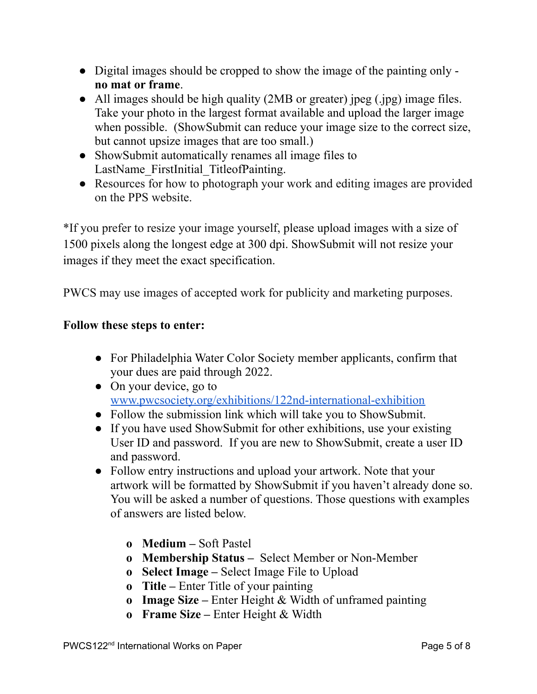- Digital images should be cropped to show the image of the painting only **no mat or frame**.
- All images should be high quality (2MB or greater) jpeg (.jpg) image files. Take your photo in the largest format available and upload the larger image when possible. (ShowSubmit can reduce your image size to the correct size, but cannot upsize images that are too small.)
- ShowSubmit automatically renames all image files to LastName FirstInitial TitleofPainting.
- Resources for how to photograph your work and editing images are provided on the PPS website.

\*If you prefer to resize your image yourself, please upload images with a size of 1500 pixels along the longest edge at 300 dpi. ShowSubmit will not resize your images if they meet the exact specification.

PWCS may use images of accepted work for publicity and marketing purposes.

#### **Follow these steps to enter:**

- For Philadelphia Water Color Society member applicants, confirm that your dues are paid through 2022.
- On your device, go to [www.pwcsociety.org/exhibitions/122nd-international-exhibition](http://www.pwcsociety.org/exhibitions/122nd-international-exhibition)
- Follow the submission link which will take you to ShowSubmit.
- If you have used ShowSubmit for other exhibitions, use your existing User ID and password. If you are new to ShowSubmit, create a user ID and password.
- **●** Follow entry instructions and upload your artwork. Note that your artwork will be formatted by ShowSubmit if you haven't already done so. You will be asked a number of questions. Those questions with examples of answers are listed below.
	- **o Medium –** Soft Pastel
	- **o Membership Status –** Select Member or Non-Member
	- **o Select Image –** Select Image File to Upload
	- **o Title –** Enter Title of your painting
	- **o Image Size –** Enter Height & Width of unframed painting
	- **o Frame Size –** Enter Height & Width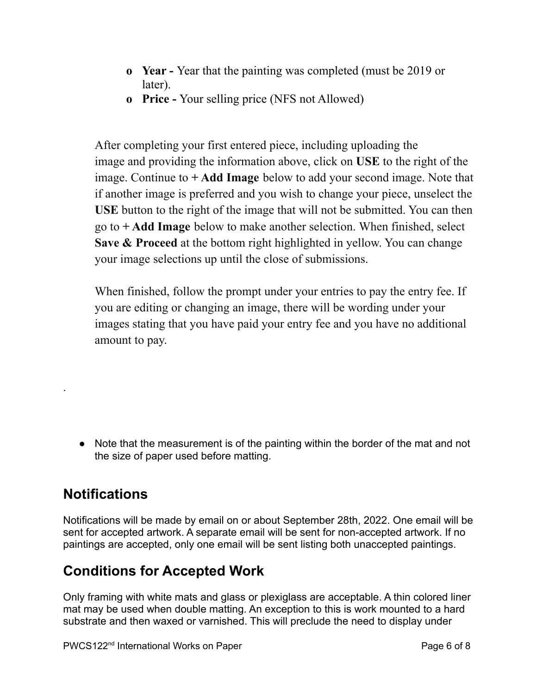- **o Year -** Year that the painting was completed (must be 2019 or later).
- **o Price -** Your selling price (NFS not Allowed)

After completing your first entered piece, including uploading the image and providing the information above, click on **USE** to the right of the image. Continue to **+ Add Image** below to add your second image. Note that if another image is preferred and you wish to change your piece, unselect the **USE** button to the right of the image that will not be submitted. You can then go to **+ Add Image** below to make another selection. When finished, select **Save & Proceed** at the bottom right highlighted in yellow. You can change your image selections up until the close of submissions.

When finished, follow the prompt under your entries to pay the entry fee. If you are editing or changing an image, there will be wording under your images stating that you have paid your entry fee and you have no additional amount to pay.

● Note that the measurement is of the painting within the border of the mat and not the size of paper used before matting.

# **Notifications**

.

Notifications will be made by email on or about September 28th, 2022. One email will be sent for accepted artwork. A separate email will be sent for non-accepted artwork. If no paintings are accepted, only one email will be sent listing both unaccepted paintings.

# **Conditions for Accepted Work**

Only framing with white mats and glass or plexiglass are acceptable. A thin colored liner mat may be used when double matting. An exception to this is work mounted to a hard substrate and then waxed or varnished. This will preclude the need to display under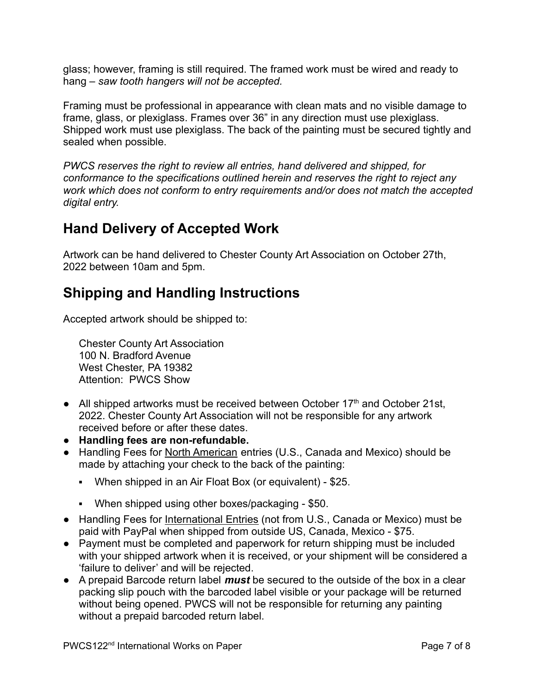glass; however, framing is still required. The framed work must be wired and ready to hang – *saw tooth hangers will not be accepted.*

Framing must be professional in appearance with clean mats and no visible damage to frame, glass, or plexiglass. Frames over 36" in any direction must use plexiglass. Shipped work must use plexiglass. The back of the painting must be secured tightly and sealed when possible.

*PWCS reserves the right to review all entries, hand delivered and shipped, for conformance to the specifications outlined herein and reserves the right to reject any work which does not conform to entry requirements and/or does not match the accepted digital entry.*

### **Hand Delivery of Accepted Work**

Artwork can be hand delivered to Chester County Art Association on October 27th, 2022 between 10am and 5pm.

# **Shipping and Handling Instructions**

Accepted artwork should be shipped to:

Chester County Art Association 100 N. Bradford Avenue West Chester, PA 19382 Attention: PWCS Show

- All shipped artworks must be received between October  $17<sup>th</sup>$  and October 21st, 2022. Chester County Art Association will not be responsible for any artwork received before or after these dates.
- **● Handling fees are non-refundable.**
- Handling Fees for North American entries (U.S., Canada and Mexico) should be made by attaching your check to the back of the painting:
	- When shipped in an Air Float Box (or equivalent) \$25.
	- When shipped using other boxes/packaging \$50.
- Handling Fees for International Entries (not from U.S., Canada or Mexico) must be paid with PayPal when shipped from outside US, Canada, Mexico - \$75.
- Payment must be completed and paperwork for return shipping must be included with your shipped artwork when it is received, or your shipment will be considered a 'failure to deliver' and will be rejected.
- A prepaid Barcode return label *must* be secured to the outside of the box in a clear packing slip pouch with the barcoded label visible or your package will be returned without being opened. PWCS will not be responsible for returning any painting without a prepaid barcoded return label.